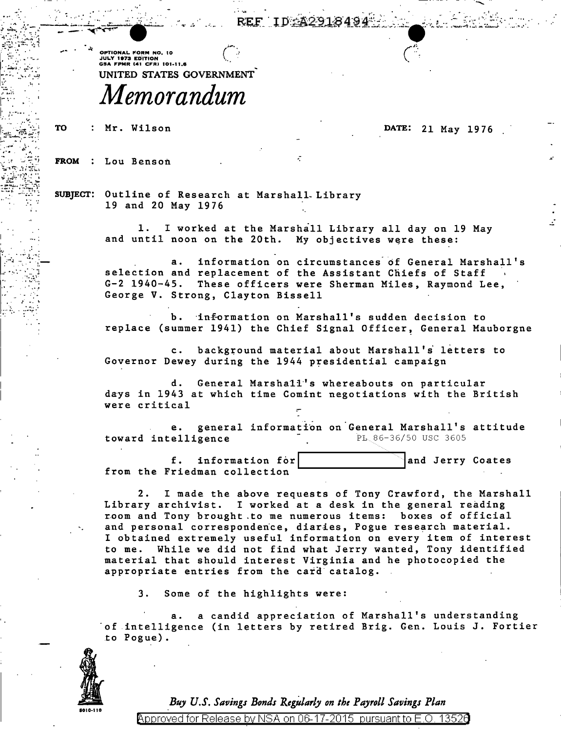REF IDSA2

OPTIONAL FORM NO. 10 **UPITURAL FURN NU. TU<br>JULY 1973 EDITION<br>GSA FPMR (41 CFR) 101-11.6** UNITED STATES GOVERNMENT

## Memorandum

: Mr. Wilson **TO** 

## DATE: 21 May 1976

FROM : Lou Benson

SUBJECT: Outline of Research at Marshall Library 19 and 20 May 1976

> I worked at the Marshall Library all day on 19 May 1. and until noon on the 20th. My objectives were these:

information on circumstances of General Marshall's a. selection and replacement of the Assistant Chiefs of Staff G-2 1940-45. These officers were Sherman Miles, Raymond Lee, George V. Strong, Clayton Bissell

information on Marshall's sudden decision to replace (summer 1941) the Chief Signal Officer, General Mauborgne

c. background material about Marshall's letters to Governor Dewey during the 1944 presidential campaign

d. General Marshall's whereabouts on particular days in 1943 at which time Comint negotiations with the British were critical

e. general information on General Marshall's attitude PL 86-36/50 USC 3605 toward intelligence

 $f$ . information for and Jerry Coates from the Friedman collection

I made the above requests of Tony Crawford, the Marshall 2. Library archivist. I worked at a desk in the general reading room and Tony brought to me numerous items: boxes of official and personal correspondence, diaries, Pogue research material. I obtained extremely useful information on every item of interest to me. While we did not find what Jerry wanted, Tony identified material that should interest Virginia and he photocopied the appropriate entries from the card catalog.

 $3.$ Some of the highlights were:

a candid appreciation of Marshall's understanding a. of intelligence (in letters by retired Brig. Gen. Louis J. Fortier to Pogue).



Buy U.S. Savings Bonds Regularly on the Payroll Savings Plan

Approved for Release by NSA on 06-17-2015 pursuant to E.O. 13520